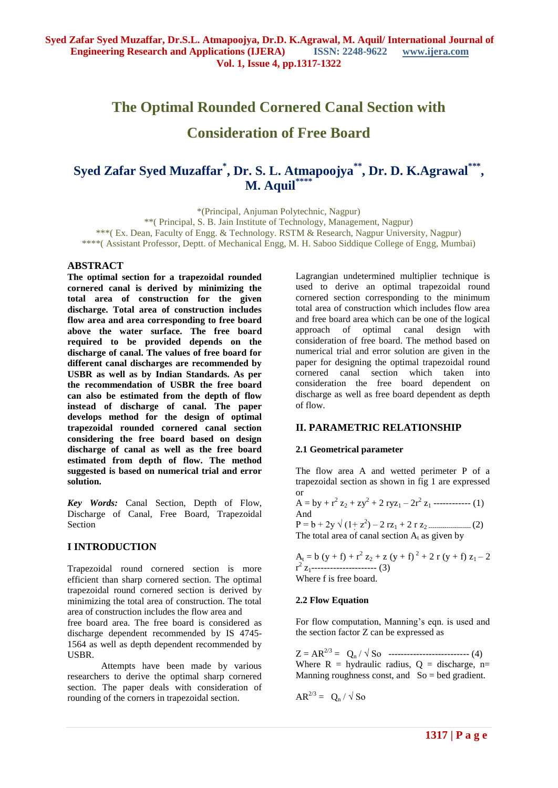# **The Optimal Rounded Cornered Canal Section with Consideration of Free Board**

# Syed Zafar Syed Muzaffar<sup>\*</sup>, Dr. S. L. Atmapoojya<sup>\*\*</sup>, Dr. D. K.Agrawal<sup>\*\*\*</sup>, **M. Aquil\*\*\*\***

\*(Principal, Anjuman Polytechnic, Nagpur) \*\*( Principal, S. B. Jain Institute of Technology, Management, Nagpur) \*\*\*( Ex. Dean, Faculty of Engg. & Technology. RSTM & Research, Nagpur University, Nagpur) \*\*\*\*( Assistant Professor, Deptt. of Mechanical Engg, M. H. Saboo Siddique College of Engg, Mumbai)

# **ABSTRACT**

**The optimal section for a trapezoidal rounded cornered canal is derived by minimizing the total area of construction for the given discharge. Total area of construction includes flow area and area corresponding to free board above the water surface. The free board required to be provided depends on the discharge of canal. The values of free board for different canal discharges are recommended by USBR as well as by Indian Standards. As per the recommendation of USBR the free board can also be estimated from the depth of flow instead of discharge of canal. The paper develops method for the design of optimal trapezoidal rounded cornered canal section considering the free board based on design discharge of canal as well as the free board estimated from depth of flow. The method suggested is based on numerical trial and error solution.**

*Key Words:* Canal Section, Depth of Flow, Discharge of Canal, Free Board, Trapezoidal Section

# **I INTRODUCTION**

Trapezoidal round cornered section is more efficient than sharp cornered section. The optimal trapezoidal round cornered section is derived by minimizing the total area of construction. The total area of construction includes the flow area and

free board area. The free board is considered as discharge dependent recommended by IS 4745- 1564 as well as depth dependent recommended by USBR.

Attempts have been made by various researchers to derive the optimal sharp cornered section. The paper deals with consideration of rounding of the corners in trapezoidal section.

Lagrangian undetermined multiplier technique is used to derive an optimal trapezoidal round cornered section corresponding to the minimum total area of construction which includes flow area and free board area which can be one of the logical approach of optimal canal design with consideration of free board. The method based on numerical trial and error solution are given in the paper for designing the optimal trapezoidal round cornered canal section which taken into consideration the free board dependent on discharge as well as free board dependent as depth of flow.

# **II. PARAMETRIC RELATIONSHIP**

#### **2.1 Geometrical parameter**

The flow area A and wetted perimeter P of a trapezoidal section as shown in fig 1 are expressed or

A = by + 
$$
r^2 z_2 + zy^2 + 2 ryz_1 - 2r^2 z_1
$$
 \n-(1)  
\nAnd  
\nP = b + 2y  $\sqrt{(1+z^2)} - 2 rz_1 + 2 r z_2$  \n-(2)  
\nThe total area of canal section A<sub>t</sub> as given by

 $A_t = b (y + f) + r^2 z_2 + z (y + f)^2 + 2 r (y + f) z_1 - 2$  $r^2$  z<sub>1</sub>------------------------- (3) Where f is free board.

#### **2.2 Flow Equation**

For flow computation, Manning's eqn. is used and the section factor Z can be expressed as

Z = AR2/3 = Q<sup>n</sup> / √ So -------------------------- (4) Where  $R =$  hydraulic radius,  $Q =$  discharge, n= Manning roughness const, and  $So = bed$  gradient.

$$
AR^{2/3} = Q_n / \sqrt{SO}
$$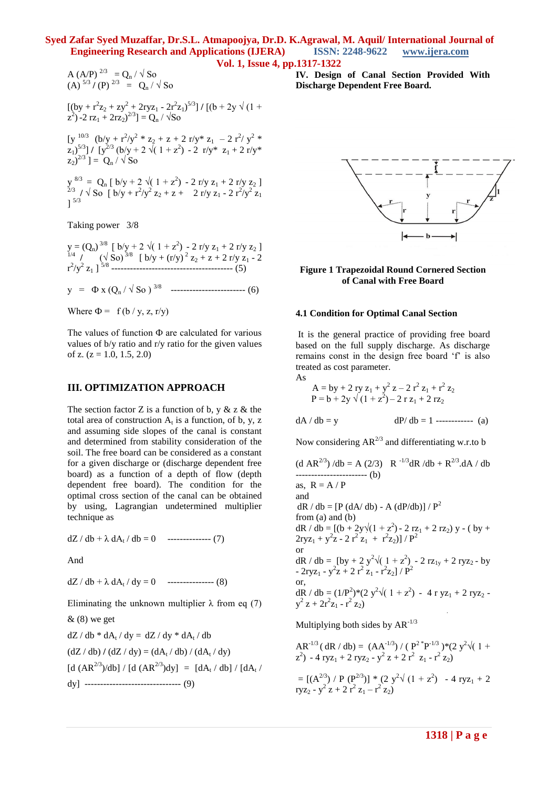A (A/P)<sup>2/3</sup> = Q<sub>n</sub> / 
$$
\sqrt{SO}
$$
  
(A)<sup>5/3</sup> / (P)<sup>2/3</sup> = Q<sub>n</sub> /  $\sqrt{SO}$ 

 $[(by + r<sup>2</sup>z<sub>2</sub> + zy<sup>2</sup> + 2ryz<sub>1</sub> - 2r<sup>2</sup>z<sub>1</sub>)<sup>5/3</sup>] / [(b + 2y \sqrt{(1 +$  $(z^2)$  -2 rz<sub>1</sub> + 2rz<sub>2</sub>)<sup>2/3</sup>] = Q<sub>n</sub> /  $\sqrt{S}$ o

[y  $\frac{10/3}{2}$  (b/y + r<sup>2</sup>/y<sup>2</sup> \* z<sub>2</sub> + z + 2 r/y<sup>\*</sup> z<sub>1</sub> - 2 r<sup>2</sup>/y<sup>2</sup> \*  $\left[\frac{z_1}{5}\right]^{\frac{5}{3}}$  /  $\left[\frac{y^{2/3}}{9}\right]$  (b/y + 2  $\sqrt{(1+z^2)}$  - 2  $\frac{r}{y^*}$   $z_1 + 2 \frac{r}{y^*}$  $(z_2)^{2/3}$ ] =  $Q_n / \sqrt{S_0}$ 

 $y^{8/3} = Q_n [b/y + 2 \sqrt{(1 + z^2)} - 2 r/y z_1 + 2 r/y z_2]$ <br>  $y \sqrt{SO [b/y + r^2/y^2 z_2 + z + 2 r/y z_1 - 2 r^2/y^2 z_1]}$  $]$ <sup>5/3</sup>

Taking power 3/8

 $y = (Q_n)^{3/8}$  [ b/y + 2  $\sqrt{(1+z^2)}$  - 2 r/y z<sub>1</sub> + 2 r/y z<sub>2</sub> ]<br><sup>1/4</sup> /  $(\sqrt{8}0)^{3/8}$  [ b/y + (r/y)<sup>2</sup> z<sub>2</sub> + z + 2 r/y z<sub>1</sub> - 2 r 2 /y2 z<sup>1</sup> ] 5/8 --------------------------------------- (5)

 $y = \Phi x (Q_n / \sqrt{S_0})^{3/8}$  ---------------------------- (6)

Where  $\Phi = f(b / y, z, r/y)$ 

The values of function Ф are calculated for various values of b/y ratio and r/y ratio for the given values of z.  $(z = 1.0, 1.5, 2.0)$ 

#### **III. OPTIMIZATION APPROACH**

The section factor Z is a function of b,  $y \& z \&$  the total area of construction  $A_t$  is a function, of b, y, z and assuming side slopes of the canal is constant and determined from stability consideration of the soil. The free board can be considered as a constant for a given discharge or (discharge dependent free board) as a function of a depth of flow (depth dependent free board). The condition for the optimal cross section of the canal can be obtained by using, Lagrangian undetermined multiplier technique as

 $dZ/db + \lambda dA_t/db = 0$  -------------- (7)

And

 $dZ / db + \lambda dA_t / dy = 0$  --------------- (8)

Eliminating the unknown multiplier  $\lambda$  from eq (7)

& (8) we get  
\ndZ / db \* dA<sub>t</sub> / dy = dZ / dy \* dA<sub>t</sub> / db  
\n(dZ / db) / (dZ / dy) = (dA<sub>t</sub> / db) / (dA<sub>t</sub> / dy)  
\n[d (AR<sup>2/3</sup>)/db] / [d (AR<sup>2/3</sup>)dy] = [dA<sub>t</sub> / db] / [dA<sub>t</sub>  
\ndy]   
\n
$$
...
$$

/

**IV. Design of Canal Section Provided With Discharge Dependent Free Board.**



#### **Figure 1 Trapezoidal Round Cornered Section of Canal with Free Board**

#### **4.1 Condition for Optimal Canal Section**

It is the general practice of providing free board based on the full supply discharge. As discharge remains const in the design free board 'f' is also treated as cost parameter.

As

 $dA / db = y$ 

A = by + 2 ry z<sub>1</sub> + y<sup>2</sup> z – 2 r<sup>2</sup> z<sub>1</sub> + r<sup>2</sup> z<sub>2</sub>  
P = b + 2y 
$$
\sqrt{(1 + z^2)}
$$
 – 2 r z<sub>1</sub> + 2 r z<sub>2</sub>

$$
dP/db = 1
$$
 \n----- (a)

Now considering  $AR^{2/3}$  and differentiating w.r.to b

(d AR<sup>2/3</sup>) /db = A (2/3) R<sup>-1/3</sup>dR /db + R<sup>2/3</sup>.dA / db  
\n
$$
3. R = A / P
$$
\nand  
\ndR / db = [P (dA/ db) - A (dP/db)] / P<sup>2</sup>  
\nfrom (a) and (b)  
\ndR / db = [(b + 2y)(1 + z<sup>2</sup>) - 2 rz<sub>1</sub> + 2 rz<sub>2</sub>) y - (by +  
\n2ryz<sub>1</sub> + y<sup>2</sup>z - 2 r<sup>2</sup> z<sub>1</sub> + r<sup>2</sup> z<sub>2</sub>)] / P<sup>2</sup>  
\nor  
\ndR / db = [by + 2 y<sup>2</sup>/(1 + z<sup>2</sup>) - 2 rz<sub>1y</sub> + 2 ryz<sub>2</sub> - by  
\n- 2ryz<sub>1</sub> - y<sup>2</sup>z + 2 r<sup>2</sup> z<sub>1</sub> - r<sup>2</sup> z<sub>2</sub>]/ P<sup>2</sup>  
\nor,  
\ndR / db = (1/P<sup>2</sup>) \* (2 y<sup>2</sup>√(1 + z<sup>2</sup>) - 4 r yz<sub>1</sub> + 2 ryz<sub>2</sub> -  
\ny<sup>2</sup> z + 2r<sup>2</sup>z<sub>1</sub> - r<sup>2</sup>z<sub>2</sub>)

Multiplying both sides by  $AR^{-1/3}$ 

AR-1/3 ( dR / db) = (AA-1/3) / ( P2 \*P -1/3 )\*(2 y<sup>2</sup> √( 1 + z 2 ) - 4 ryz<sup>1</sup> + 2 ryz<sup>2</sup> - y 2 z + 2 r<sup>2</sup> z<sup>1</sup> - r 2 z2) = [(A2/3) / P (P2/3)] \* (2 y<sup>2</sup> √ (1 + z<sup>2</sup> ) - 4 ryz<sup>1</sup> + 2 ryz<sup>2</sup> - y 2 z + 2 r<sup>2</sup> z<sup>1</sup> – r 2 z2)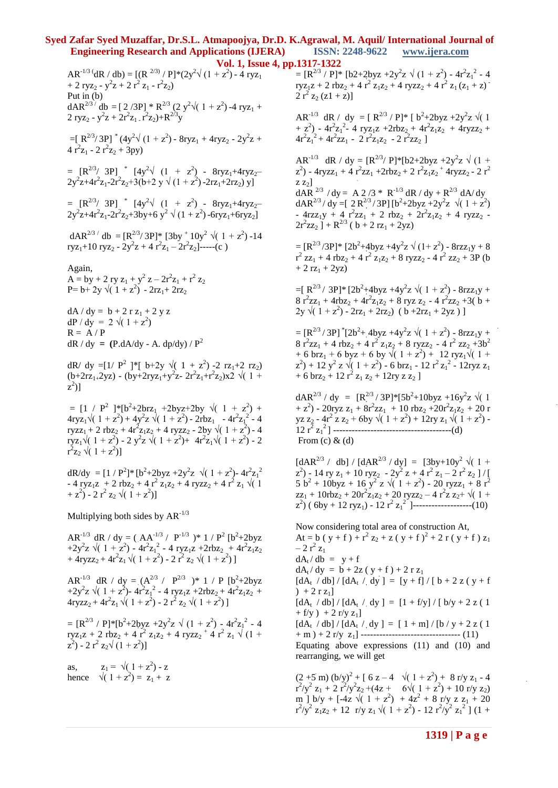$AR^{-1/3}$ <sup>(</sup>dR / db) = [(R<sup>2/3)</sup>/P]\*(2y<sup>2</sup> $\sqrt{(1+z^2)}$  - 4 ryz<sub>1</sub> + 2 ryz<sub>2</sub> -  $y^2z + 2 r^2 z_1 - r^2 z_2$ ) Put in  $(b)$  $dAR^{2/3}$   $'db = [2/3P] * R^{2/3} (2 y^2 \sqrt{(1+z^2)} - 4 ryz_1 +$ 2 ryz<sub>2</sub> -  $y^2z + 2r^2z_1 \cdot r^2z_2 + R^{2/3}y$  $=[R^{2/3}/3P]^*(4y^2\sqrt{(1+z^2)}-8ryz_1+4ryz_2-2y^2z+$  $4r^2z_1 - 2r^2z_2 + 3py$  $= [R^{2/3} / 3P]$  \*  $[4y^2 \sqrt{(1 + z^2)} - 8ryz_1 + 4ryz_2 2y^2z+4r^2z_1-2r^2z_2+3(b+2 y\sqrt{(1+z^2)}-2rz_1+2rz_2)y$ ]  $= [R^{2/3} / 3P]$  \*  $[4y^2 \sqrt{(1 + z^2)} - 8ryz_1 + 4ryz_2 2y^2z+4r^2z_1-2r^2z_2+3by+6y^2 \sqrt{(1+z^2)}-6ryz_1+6ryz_2$  $dAR^{2/3}$   $^\prime$  db =  $[R^{2/3}/3P]^*$   $[3by + 10y^2 \sqrt{(1 + z^2)} - 14]$ ryz<sub>1</sub>+10 ryz<sub>2</sub> - 2y<sup>2</sup>z + 4 r<sup>2</sup>z<sub>1</sub> - 2r<sup>2</sup>z<sub>2</sub>]-----(c) Again,  $A = by + 2 ry z<sub>1</sub> + y<sup>2</sup> z - 2r<sup>2</sup> z<sub>1</sub> + r<sup>2</sup> z<sub>2</sub>$ P=  $b+2y \sqrt{(1+z^2)} - 2rz_1+2rz_2$  $dA / dy = b + 2 r z_1 + 2 y z$  $dP / dy = 2 \sqrt{(1 + z^2)}$  $R = A / P$  $dR / dy = (P.dA/dy - A. dp/dy) / P^2$ dR/ dy =[1/  $P^2$  ]\*[  $b+2y \sqrt{(1+z^2)} -2 rz_1+2 rz_2)$  $(b+2rz_1+2yz) - (by+2ryz_1+y^2z-2r^2z_1+r^2z_2)x^2 \sqrt{(1+2rz_1+y^2z-2r^2z_1+r^2z_2)}$  $\left[ z^2 \right)$ ]  $= [1 / P^2]^{*}[b^2 + 2brz_1 + 2byz + 2by \sqrt{(1 + z^2)} +$  $4xyz_1\sqrt{(1+z^2)}+4y^2z\sqrt{(1+z^2)}-2rbz_1 -4r^2z_1^2 -4$ ryzz<sub>1</sub> + 2 rbz<sub>2</sub> + 4r<sup>2</sup>z<sub>1</sub>z<sub>2</sub> + 4 ryzz<sub>2</sub> - 2by  $\sqrt{(1 + z^2)}$  - 4 ryz<sub>1</sub> $\sqrt{(1+z^2)}$  - 2  $y^2z \sqrt{(1+z^2)}$  +  $4r^2z_1\sqrt{(1+z^2)}$  - 2  $r^2z_2 \sqrt{1+z^2}]$  $dR/dy = [1/P<sup>2</sup>] * [b<sup>2</sup>+2byz +2y<sup>2</sup>z \sqrt{(1+z<sup>2</sup>)-4r<sup>2</sup>z<sub>1</sub>}]$  $-4$  ryz<sub>1</sub>z + 2 rbz<sub>2</sub> + 4 r<sup>2</sup> z<sub>1</sub>z<sub>2</sub> + 4 ryzz<sub>2</sub> + 4 r<sup>2</sup> z<sub>1</sub>  $\sqrt{(1)}$  $+ z^2$ ) - 2 r<sup>2</sup> z<sub>2</sub>  $\sqrt{(1+z^2)}$ ]

Multiplying both sides by  $AR^{-1/3}$ 

AR<sup>-1/3</sup> dR / dy =  $(AA^{-1/3} / P^{-1/3})$  \* 1 /  $P^2$  [b<sup>2</sup>+2byz +2y<sup>2</sup>z  $\sqrt{(1+z^2)} - 4r^2z_1^2 - 4ryz_1z + 2rbz_2 + 4r^2z_1z_2$ +  $4\text{ryzz}_2 + 4\text{r}^2\text{z}_1 \sqrt{(1 + z^2)} - 2\text{r}^2\text{z}_2 \sqrt{(1 + z^2)}$ 

AR<sup>-1/3</sup> dR / dy =  $(A^{2/3} / P^{2/3})$  \* 1 / P  $[b^2+2byz$ +2y<sup>2</sup>z  $\sqrt{(1+z^2)}$ - 4r<sup>2</sup>z<sub>1</sub><sup>2</sup> - 4 ryz<sub>1</sub>z +2rbz<sub>2</sub> + 4r<sup>2</sup>z<sub>1</sub>z<sub>2</sub> +  $4\text{ryzz}_2 + 4\text{r}^2\text{z}_1 \sqrt{(1 + z^2)} - 2\text{r}^2\text{z}_2 \sqrt{(1 + z^2)}$ 

 $= [\mathbf{R}^{2/3} / \mathbf{P}]^* [\mathbf{b}^2 + 2\mathbf{b} \mathbf{y} \mathbf{z} + 2\mathbf{y}^2 \mathbf{z} \sqrt{(1 + z^2)} - 4\mathbf{r}^2 \mathbf{z}_1^2 - 4$ ryz<sub>1</sub>z + 2 rbz<sub>2</sub> + 4 r<sup>2</sup> z<sub>1</sub>z<sub>2</sub> + 4 ryzz<sub>2</sub><sup>+</sup> 4 r<sup>2</sup> z<sub>1</sub>  $\sqrt{(1 +$  $(z^2) - 2 r^2 z_2 \sqrt{(1 + z^2)}$ 

as,  $z_1 = \sqrt{(1+z^2)} - z$ hence  $\sqrt{(1+z^2)} = z_1 + z$   $= [\mathbf{R}^{2/3} / \mathbf{P}]^* [\mathbf{b} 2 + 2 \mathbf{b} yz + 2y^2z \sqrt{(1 + z^2)} - 4r^2z_1^2 - 4$  $\text{ryz}_1\text{z} + 2 \text{rbz}_2 + 4 \text{r}^2 \text{z}_1\text{z}_2 + 4 \text{ryzz}_2 + 4 \text{r}^2 \text{z}_1 (\text{z}_1 + \text{z})$  $2 r<sup>2</sup> z<sub>2</sub> (z1 + z)]$ 

AR<sup>-1/3</sup> dR / dy = [R<sup>2/3</sup> / P]\* [b<sup>2</sup>+2byz +2y<sup>2</sup>z  $\sqrt{(1)}$ +  $z^2$ ) - 4r<sup>2</sup>z<sub>1</sub><sup>2</sup>- 4 ryz<sub>1</sub>z +2rbz<sub>2</sub> + 4r<sup>2</sup>z<sub>1</sub>z<sub>2</sub> + 4ryzz<sub>2</sub> +  $4r^2z_1^2 + 4r^2zz_1 - 2r^2z_1z_2 - 2r^2zz_2$ ]

AR<sup>-1/3</sup> dR / dy =  $[R^{2/3} / P]^*[b2+2byz +2y^2z \sqrt{(1 +$  $z^2$ ) - 4ryzz<sub>1</sub> + 4 r<sup>2</sup>zz<sub>1</sub> + 2rbz<sub>2</sub> + 2 r<sup>2</sup>z<sub>1</sub>z<sub>2</sub><sup>+</sup> 4ryzz<sub>2</sub> - 2 r<sup>2</sup>  $z_2$ ]  $dAR^{2/3}$  /  $dy = A 2/3 * R^{-1/3} dR / dy + R^{2/3} dA / dy$  $dAR^{2/3}$  /  $dy = [ 2R^{2/3} / 3P] [b^2 + 2byz + 2y^2z \sqrt{(1 + z^2)}]$ -  $4rzz_1y + 4 r^2zz_1 + 2 rbz_2 + 2r^2z_1z_2 + 4 ryzz_2$  $2r^2zz_2$  ] +  $R^{2/3}$  ( b + 2 rz<sub>1</sub> + 2yz)

 $=[R^{2/3}/3P]^*$  [2b<sup>2</sup>+4byz +4y<sup>2</sup>z  $\sqrt{(1+z^2)}$  - 8rzz<sub>1</sub>y + 8  $r^2$  zz<sub>1</sub> + 4 rbz<sub>2</sub> + 4 r<sup>2</sup> z<sub>1</sub>z<sub>2</sub> + 8 ryzz<sub>2</sub> - 4 r<sup>2</sup> zz<sub>2</sub> + 3P (b  $+ 2 rz<sub>1</sub> + 2yz)$ 

 $=[R^{2/3} / 3P]^* [2b^2 + 4byz + 4y^2z \sqrt{(1 + z^2)} - 8rzz_1y +$  $8r^2zz_1 + 4rbz_2 + 4r^2z_1z_2 + 8ryz z_2 - 4r^2zz_2 + 3(b +$  $2y \sqrt{(1+z^2)} - 2rz_1 + 2rz_2)$  ( $b + 2rz_1 + 2yz$ )]

 $=$   $[R^{2/3}/3P]^*$  $[2b^2+4byz+4y^2z \sqrt{(1+z^2)}-8rzz_1y+$  $8r^2zz_1 + 4rbz_2 + 4r^2z_1z_2 + 8ryzz_2 - 4r^2zz_2 + 3b^2$ + 6 brz<sub>1</sub> + 6 byz + 6 by  $\sqrt{(1+z^2)} + 12$  ryz<sub>1</sub> $\sqrt{(1+z^2)}$  $(z^2)$  + 12  $y^2$  z  $\sqrt{(1+z^2)}$  - 6 brz<sub>1</sub> - 12 r<sup>2</sup> z<sub>1</sub><sup>2</sup> - 12ryz z<sub>1</sub> + 6 brz<sub>2</sub> + 12 r<sup>2</sup> z<sub>1</sub> z<sub>2</sub> + 12ry z z<sub>2</sub> ]

 $dAR^{2/3}$  /  $dy = [R^{2/3}$  / 3P]\*[5b<sup>2</sup>+10byz +16y<sup>2</sup>z  $\sqrt{(1)}$ +  $z^2$ ) - 20ryz  $z_1$  +  $8r^2zz_1$  + 10 rbz<sub>2</sub> + 20r<sup>2</sup>z<sub>1</sub>z<sub>2</sub> + 20 r yz z<sub>2</sub> - 4r<sup>2</sup> z z<sub>2</sub> + 6by √( 1 + z<sup>2</sup>) + 12ry z<sub>1</sub> √( 1 + z<sup>2</sup>) -12 r<sup>2</sup> z1 <sup>2</sup>] --------------------------------------(d) From  $(c)$  &  $(d)$ 

 $\left[ dAR^{2/3} / db \right] / \left[ dAR^{2/3} / dy \right] = \left[ 3by + 10y^2 \sqrt{(1 +$  $(z^2)$  - 14 ry  $z_1$  + 10 ryz<sub>2</sub> - 2y<sup>2</sup> z + 4 r<sup>2</sup> z<sub>1</sub> - 2 r<sup>2</sup> z<sub>2</sub> ] / [  $5 b<sup>2</sup> + 10$ byz + 16 y<sup>2</sup> z  $\sqrt{(1 + z<sup>2</sup>) - 20}$  ryzz<sub>1</sub> + 8 r<sup>2</sup>  $zz_1 + 10$ rb $z_2 + 20r^2z_1z_2 + 20$  ryzz<sub>2</sub> – 4 r<sup>2</sup>z z<sub>2</sub>+  $\sqrt{(1 +$  $(z^2)$  ( 6by + 12 ryz<sub>1</sub>) - 12 r<sup>2</sup> z<sub>1</sub><sup>2</sup> ]--------------------(10)

Now considering total area of construction At, At = b ( y + f ) +  $r^2 z_2 + z$  ( y + f )<sup>2</sup> + 2 r ( y + f )  $z_1$  $-2 r^2 z_1$  $dA_t / db = v + f$  $dA_t/dy = b + 2z(y+f) + 2rz_1$  $[dA_t / db] / [dA_t / dy] = [y + f] / [b + 2 z (y + f)]$  $+ 2 r z_1$  $[dA_t / db] / [dA_t / dy] = [1 + f/y] / [b/y + 2 z (1$ +  $f/y$  ) + 2  $r/y z_1$ ]  $[dA_t / db] / [dA_t / dy] = [1 + m] / [b / y + 2 z (1$ + m ) + 2 r/y z1] -------------------------------- (11) Equating above expressions (11) and (10) and rearranging, we will get

 $(2 + 5 \text{ m}) (b/y)^2 + [ 6 \text{ z} - 4 \sqrt{(1 + z^2)} + 8 \text{ r/y z}_1 - 4$  $r^2/y^2 z_1 + 2 r^2/y^2 z_2 + (4z + 6\sqrt{(1 + z^2)} + 10 r/y z_2)$ m ] b/y + [-4z  $\sqrt{(1+z^2) + 4z^2 + 8}$  r/y z z<sub>1</sub> + 20  $r^2/y^2 z_1 z_2 + 12 r/y z_1 \sqrt{(1 + z^2)} - 12 r^2/y^2 z_1^2$  | (1 +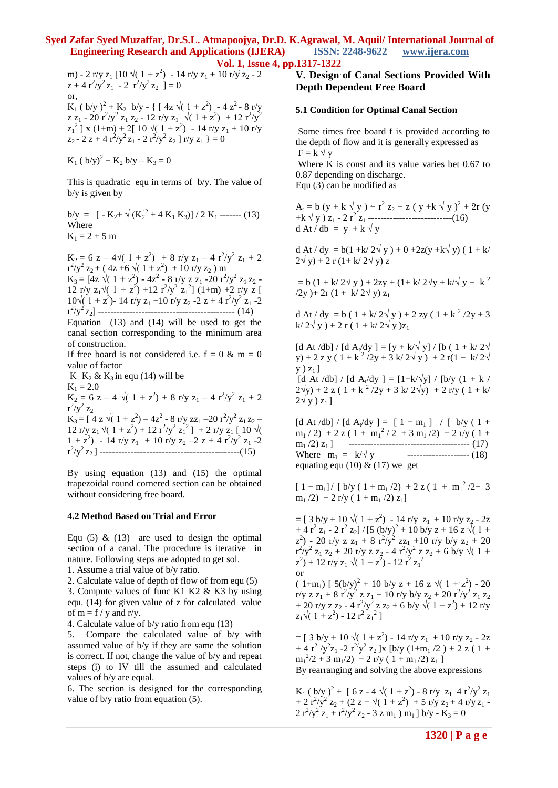m) - 2 r/y z<sub>1</sub> [10  $\sqrt{(1+z^2)}$  - 14 r/y z<sub>1</sub> + 10 r/y z<sub>2</sub> - 2  $z + 4 r^2/y^2 z_1 - 2 r^2/y^2 z_2 = 0$ or,  $K_1$  ( b/y )<sup>2</sup> +  $K_2$  b/y - { [ 4z  $\sqrt{(1+z^2)}$  - 4  $z^2$  - 8 r/y z z<sub>1</sub> - 20 r<sup>2</sup>/y<sup>2</sup> z<sub>1</sub> z<sub>2</sub> - 12 r/y z<sub>1</sub>  $\sqrt{(1+z^2) + 12 r^2/y^2}$  $z_1^2$  | x (1+m) + 2[ 10  $\sqrt{(1+z^2)}$  - 14 r/y  $z_1$  + 10 r/y  $z_2 - 2 z + 4 r^2/y^2 z_1 - 2 r^2/y^2 z_2$  ] r/y  $z_1$  } = 0

 $K_1$  ( b/y)<sup>2</sup> +  $K_2$  b/y –  $K_3$  = 0

This is quadratic equ in terms of b/y. The value of b/y is given by

 $b/y = [-K_2 + \sqrt{(K_2^2 + 4 K_1 K_3)}]/2 K_1$  ------- (13) Where  $K_1 = 2 + 5$  m

 $K_2 = 6$  z – 4 $\sqrt{(1 + z^2)} + 8$  r/y z<sub>1</sub> – 4 r<sup>2</sup>/y<sup>2</sup> z<sub>1</sub> + 2  $r^2/y^2 z_2 + (4z + 6 \sqrt{(1 + z^2)} + 10 \, r/y z_2)$  m  $K_3 = [4z \sqrt{(1 + z^2)} - 4z^2 - 8 \text{ r/y z z}_1 - 20 \text{ r}^2/y^2 z_1 z_2 -$ 12 r/y z<sub>1</sub>√( 1 + z<sup>2</sup>) +12 r<sup>2</sup>/y<sup>2</sup> z<sub>1</sub><sup>2</sup>] (1+m) +2 r/y z<sub>1</sub>[  $10\sqrt{(1+z^2)}$ - 14 r/y z<sub>1</sub> +10 r/y z<sub>2</sub> -2 z + 4 r<sup>2</sup>/y<sup>2</sup> z<sub>1</sub> -2 r 2 /y<sup>2</sup> z2] -------------------------------------------- (14)

Equation (13) and (14) will be used to get the canal section corresponding to the minimum area of construction.

If free board is not considered i.e.  $f = 0 \& m = 0$ value of factor

 $K_1 K_2 \& K_3$  in equ (14) will be  $K_1 = 2.0$  $K_2 = 6$  z – 4  $\sqrt{(1 + z^2) + 8}$  r/y z<sub>1</sub> – 4 r<sup>2</sup>/y<sup>2</sup> z<sub>1</sub> + 2  $r^2/y^2$  z<sub>2</sub>  $K_3 = [4 z \sqrt{(1+z^2)} - 4z^2 - 8 r/y zz_1 - 20 r^2/y^2 z_1 z_2 -$ 12 r/y z<sub>1</sub>  $\sqrt{(1 + z^2) + 12 r^2/y^2 z_1^2}$  + 2 r/y z<sub>1</sub> [ 10  $\sqrt{(}$  $1 + z^2$ ) - 14 r/y z<sub>1</sub> + 10 r/y z<sub>2</sub> - 2 z + 4 r<sup>2</sup>/y<sup>2</sup> z<sub>1</sub> - 2 r 2 /y<sup>2</sup> z2 ] ---------------------------------------------(15)

By using equation (13) and (15) the optimal trapezoidal round cornered section can be obtained without considering free board.

#### **4.2 Method Based on Trial and Error**

Equ  $(5)$  &  $(13)$  are used to design the optimal section of a canal. The procedure is iterative in nature. Following steps are adopted to get sol.

1. Assume a trial value of b/y ratio.

2. Calculate value of depth of flow of from equ (5) 3. Compute values of func K1 K2 & K3 by using equ. (14) for given value of z for calculated value of  $m = f / y$  and r/y.

4. Calculate value of b/y ratio from equ (13)

5. Compare the calculated value of b/y with assumed value of b/y if they are same the solution is correct. If not, change the value of b/y and repeat steps (i) to IV till the assumed and calculated values of b/y are equal.

6. The section is designed for the corresponding value of b/y ratio from equation (5).

# **V. Design of Canal Sections Provided With Depth Dependent Free Board**

#### **5.1 Condition for Optimal Canal Section**

Some times free board f is provided according to the depth of flow and it is generally expressed as  $F = k \sqrt{y}$ 

Where K is const and its value varies bet 0.67 to 0.87 depending on discharge.

Equ (3) can be modified as

 $A_t = b (y + k \sqrt{y}) + r^2 z_2 + z (y + k \sqrt{y})^2 + 2r (y$ +k √ y ) z<sup>1</sup> - 2 r<sup>2</sup> z<sup>1</sup> ---------------------------(16)  $d At / db = y + k \sqrt{y}$ 

d At / dy =  $b(1 + k/2\sqrt{y}) + 0 + 2z(y + k\sqrt{y}) (1 + k/2)$  $2\sqrt{y} + 2r(1 + k/2\sqrt{y})z_1$ 

 $= b (1 + k/2\sqrt{y}) + 2zy + (1 + k/2\sqrt{y} + k/\sqrt{y} + k^2)$  $(2y) + 2r(1 + k/2\sqrt{y})z_1$ 

d At / dy = b (  $1 + k/2\sqrt{y}$  ) + 2 zy (  $1 + k^2/2y + 3$  $k/2\sqrt{v}$  + 2 r ( 1 + k/ 2 $\sqrt{v}$  )z<sub>1</sub>

[d At /db] / [d A<sub>t</sub>/dy ] = [y + k/ $\sqrt{y}$ ] / [b ( 1 + k/ 2 $\sqrt{y}$ ] y) + 2 z y (  $1 + k^2/2y + 3k/2\sqrt{y}$  ) + 2 r( $1 + k/2\sqrt{y}$  $y$ )  $z_1$ ] [d At /db] / [d A<sub>t</sub>/dy ] = [1+k/ $\sqrt{y}$ ] / [b/y (1 + k /  $2\sqrt{y}$  + 2 z ( 1 + k<sup>2</sup>/2y + 3 k/ 2 $\sqrt{y}$ ) + 2 r/y ( 1 + k/  $2\sqrt{y}$  )  $z_1$ ]

[d At /db] / [d A<sub>t</sub>/dy ] = [ 1 + m<sub>1</sub> ] / [ b/y ( 1 +  $m_1$  / 2) + 2 z ( 1 +  $m_1^2$  / 2 + 3  $m_1$  /2) + 2 r/y ( 1 + m<sup>1</sup> /2) z1 ] --------------------------------------- (17) Where  $m_1 = k/\sqrt{y}$  --------------------- (18) equating equ (10)  $&$  (17) we get

 $[1 + m_1] / [b/y (1 + m_1/2) + 2 z (1 + m_1^2/2 + 3)$  $m_1$  /2) + 2 r/y (1 +  $m_1$  /2) z<sub>1</sub>]

 $=$  [ 3 b/y + 10  $\sqrt{(1+z^2)}$  - 14 r/y z<sub>1</sub> + 10 r/y z<sub>2</sub> - 2z  $+ 4 r<sup>2</sup> z<sub>1</sub> - 2 r<sup>2</sup> z<sub>2</sub>$ ] / [5 (b/y)<sup>2</sup> + 10 b/y z + 16 z  $\sqrt{(1 +$  $(z^2)$  - 20 r/y z  $z_1 + 8 r^2/y^2$  zz<sub>1</sub> +10 r/y b/y  $z_2 + 20$  $r^2/y^2$  z<sub>1</sub> z<sub>2</sub> + 20 r/y z z<sub>2</sub> - 4  $r^2/y^2$  z z<sub>2</sub> + 6 b/y  $\sqrt{(1 +$  $(z^2)$  + 12 r/y  $z_1 \sqrt{(1+z^2)}$  - 12 r<sup>2</sup>  $z_1^2$ or

 $(1+m_1)$  [ 5(b/y)<sup>2</sup> + 10 b/y z + 16 z  $\sqrt{(1+z^2)}$  - 20 r/y z z<sub>1</sub> + 8 r<sup>2</sup>/y<sup>2</sup> z z<sub>1</sub> + 10 r/y b/y z<sub>2</sub> + 20 r<sup>2</sup>/y<sup>2</sup> z<sub>1</sub> z<sub>2</sub> + 20 r/y z z<sub>2</sub> - 4 r<sup>2</sup>/y<sup>2</sup> z z<sub>2</sub> + 6 b/y  $\sqrt{(1 + z^2) + 12}$  r/y  $z_1\sqrt{(1+z^2)} - 12 r^2 z_1^2$ ]

 $=$  [ 3 b/y + 10  $\sqrt{(1+z^2)}$  - 14 r/y z<sub>1</sub> + 10 r/y z<sub>2</sub> - 2z + 4 r<sup>2</sup> /y<sup>2</sup>z<sub>1</sub> -2 r<sup>2/</sup>y<sup>2</sup> z<sub>2</sub> ]x [b/y (1+m<sub>1</sub> /2) + 2 z (1+  $m_1^2/2 + 3 m_1/2 + 2 r/y (1 + m_1/2) z_1$ By rearranging and solving the above expressions

 $K_1$  ( b/y )<sup>2</sup> + [ 6 z - 4  $\sqrt{(1+z^2)}$  - 8 r/y z<sub>1</sub> 4 r<sup>2</sup>/y<sup>2</sup> z<sub>1</sub>  $+ 2 r<sup>2</sup>/y<sup>2</sup> z<sub>2</sub> + (2 z + \sqrt{(1 + z<sup>2</sup>)} + 5 r/y z<sub>2</sub> + 4 r/y z<sub>1</sub> 2 r^2/y^2 z_1 + r^2/y^2 z_2 - 3 z m_1) m_1$  ] b/y - K<sub>3</sub> = 0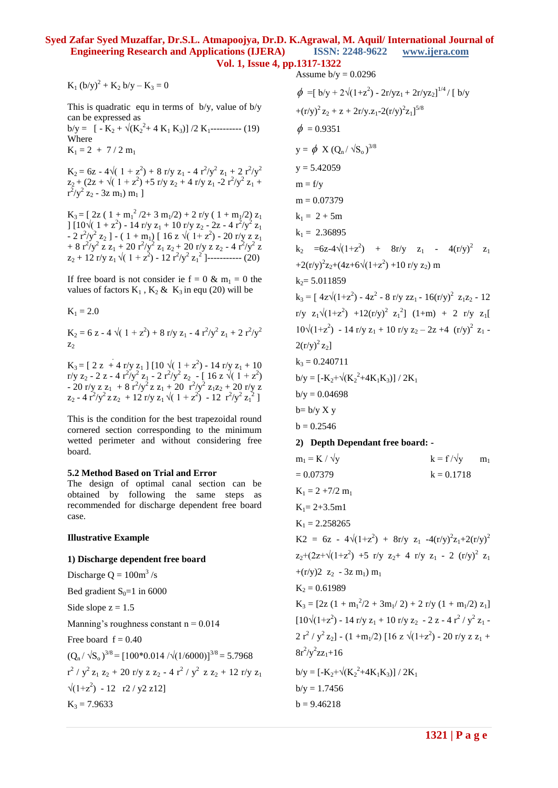$K_1 (b/y)^2 + K_2 b/y - K_3 = 0$ 

This is quadratic equ in terms of b/y, value of b/y can be expressed as  $b/y = \left[ -K_2 + \sqrt{(K_2^2 + 4 K_1 K_3)} \right] / 2 K_1$ ---------- (19) Where

 $K_1 = 2 + 7/2 m_1$ 

 $K_2 = 6z - 4\sqrt{(1 + z^2) + 8 \frac{r}{y} z_1 - 4 \frac{r^2}{y^2} z_1 + 2 \frac{r^2}{y^2}}$  $z_2 + (2z + \sqrt{(1 + z^2)} + 5 \text{ r/y } z_2 + 4 \text{ r/y } z_1 - 2 \text{ r}^2/\text{y}^2 z_1 +$  $r^2/y^2$  z<sub>2</sub> - 3z m<sub>1</sub>) m<sub>1</sub>]

 $K_3 = [2z(1 + m_1^2/2 + 3 m_1/2) + 2 r/y (1 + m_1/2) z_1$ ]  $[10\sqrt{(1+z^2)} - 14 \frac{\text{r}}{\text{y}} \frac{z_1 + 10 \frac{\text{r}}{\text{y}} \frac{z_2 - 2z - 4 \frac{\text{r}^2}{\text{y}^2} \frac{z_1}{z_1}}]$ - 2  $r^2/y^2$   $z_2$  ] - ( 1 + m<sub>1</sub>) [ 16 z  $\sqrt{(1+z^2)}$  - 20 r/y z  $z_1$ + 8  $r^2/y^2$  z z<sub>1</sub> + 20  $r^2/y^2$  z<sub>1</sub> z<sub>2</sub> + 20 r/y z z<sub>2</sub> - 4  $r^2/y^2$  z  $z_2 + 12$  r/y  $z_1 \sqrt{(1 + z^2)} - 12 r^2/y^2 z_1^2$  ]----------- (20)

If free board is not consider ie  $f = 0 \& m_1 = 0$  the values of factors  $K_1$ ,  $K_2$  &  $K_3$  in equ (20) will be

 $K_1 = 2.0$ 

 $K_2 = 6 z - 4 \sqrt{(1 + z^2) + 8 r/y z_1 - 4 r^2/y^2 z_1 + 2 r^2/y^2}$  $z<sub>2</sub>$ 

 $K_3 = [2 z + 4 r/y z_1] [10 \sqrt{(1 + z^2)} - 14 r/y z_1 + 10]$ r/y z<sub>2</sub> - 2 z - 4 r<sup>2</sup>/y<sup>2</sup> z<sub>1</sub> - 2 r<sup>2</sup>/y<sup>2</sup> z<sub>2</sub> - [ 16 z  $\sqrt{(1+z^2)}$ - 20 r/y z z<sub>1</sub> + 8 r<sup>2</sup>/y<sup>2</sup> z z<sub>1</sub> + 20 r<sup>2</sup>/y<sup>2</sup> z<sub>1</sub>z<sub>2</sub> + 20 r/y z  $z_2 - 4 r^2/y^2 z z_2 + 12 r/y z_1 \sqrt{(1 + z^2)} - 12 r^2/y^2 z_1^2$ 

This is the condition for the best trapezoidal round cornered section corresponding to the minimum wetted perimeter and without considering free board.

#### **5.2 Method Based on Trial and Error**

The design of optimal canal section can be obtained by following the same steps as recommended for discharge dependent free board case.

#### **Illustrative Example**

# **1) Discharge dependent free board**

Discharge  $Q = 100m^3/s$ 

Bed gradient  $S_0=1$  in 6000

Side slope  $z = 1.5$ 

Manning's roughness constant  $n = 0.014$ 

Free board  $f = 0.40$ 

 $(Q_n / \sqrt{S_0})^{3/8} = [100*0.014 / \sqrt{(1/6000)}]^{3/8} = 5.7968$  $r^2$  /  $y^2$  z<sub>1</sub> z<sub>2</sub> + 20 r/y z z<sub>2</sub> - 4  $r^2$  /  $y^2$  z z<sub>2</sub> + 12 r/y z<sub>1</sub>  $\sqrt{(1+z^2)}$  - 12 r2 / y2 z12]  $K_3 = 7.9633$ 

Assume  $b/y = 0.0296$  $\phi = [b/y + 2\sqrt{(1+z^2)} - 2r/yz_1 + 2r/yz_2]^{1/4}$  / [ b/y +(r/y)<sup>2</sup> z<sub>2</sub> + z + 2r/y.z<sub>1</sub>-2(r/y)<sup>2</sup>z<sub>1</sub>]<sup>5/8</sup>  $\phi = 0.9351$  $y = \phi X (Q_n / \sqrt{S_0})^{3/8}$  $y = 5.42059$  $m = f/y$  $m = 0.07379$  $k_1 = 2 + 5m$  $k_1 = 2.36895$  $k_2 = 6z - 4\sqrt{(1+z^2)} + 8r/y$   $z_1 - 4(r/y)^2$   $z_1$ +2(r/y)<sup>2</sup>z<sub>2</sub>+(4z+6 $\sqrt{(1+z^2)}$ +10 r/y z<sub>2</sub>) m  $k_2$ = 5.011859  $k_3 = [4z\sqrt{(1+z^2)} - 4z^2 - 8r/y zz_1 - 16(r/y)^2 z_1z_2 - 12$ r/y  $z_1\sqrt{(1+z^2) +12(r/y)^2} z_1^2$  (1+m) + 2 r/y  $z_1$ [  $10\sqrt{(1+z^2)} - 14 \frac{\text{r}}{\text{y}} z_1 + 10 \frac{\text{r}}{\text{y}} z_2 - 2z + 4 \frac{\text{r}}{\text{y}}^2 z_1 2(r/y)^{2} z_{2}$  $k_3 = 0.240711$  $b/y = [-K_2 + \sqrt{(K_2^2 + 4K_1K_3)}]/2K_1$  $b/v = 0.04698$  $b = b/y X y$  $b = 0.2546$ **2) Depth Dependant free board:**   $m_1 = K / \sqrt{v}$  k = f / $\sqrt{v}$  m<sub>1</sub>  $k = 0.07379$  k = 0.1718  $K_1 = 2 + 7/2$  m<sub>1</sub>  $K_1 = 2 + 3.5$ m1  $K_1 = 2.258265$ K2 = 6z -  $4\sqrt{(1+z^2)} + 8\frac{r}{y} z_1 - 4\frac{r}{y^2} z_1 + 2\frac{r}{y^2}$  $z_2+(2z+\sqrt{(1+z^2)} +5 \text{ r/y } z_2+ 4 \text{ r/y } z_1 - 2 \text{ (r/y)}^2 z_1$ + $(r/y)2 z_2 - 3z m_1$ ) m<sub>1</sub>  $K_2 = 0.61989$  $K_3 = [2z (1 + m_1^2/2 + 3m_1/2) + 2 r/y (1 + m_1/2) z_1]$  $[10\sqrt{(1+z^2)} - 14 \text{ r/y } z_1 + 10 \text{ r/y } z_2 - 2 z - 4 \text{ r}^2 / y^2 z_1 2 r^2 / y^2 z_2$ ] - (1 +m<sub>1</sub>/2) [16 z  $\sqrt{(1+z^2)}$  - 20 r/y z z<sub>1</sub> +  $8r^2/y^2zz_1+16$  $b/y = [-K_2 + \sqrt{(K_2^2 + 4K_1K_3)}]/2K_1$  $b/v = 1.7456$  $b = 9.46218$